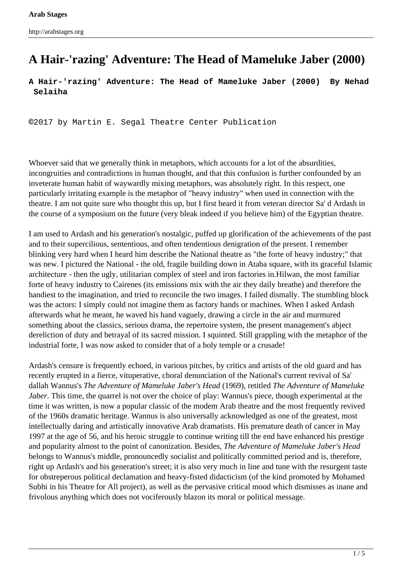## **A Hair-'razing' Adventure: The Head of Mameluke Jaber (2000)**

**A Hair-'razing' Adventure: The Head of Mameluke Jaber (2000) By Nehad Selaiha**

**©**2017 by Martin E. Segal Theatre Center Publication

Whoever said that we generally think in metaphors, which accounts for a lot of the absurdities, incongruities and contradictions in human thought, and that this confusion is further confounded by an inveterate human habit of waywardly mixing metaphors, was absolutely right. In this respect, one particularly irritating example is the metaphor of "heavy industry" when used in connection with the theatre. I am not quite sure who thought this up, but I first heard it from veteran director Sa' d Ardash in the course of a symposium on the future (very bleak indeed if you believe him) of the Egyptian theatre.

I am used to Ardash and his generation's nostalgic, puffed up glorification of the achievements of the past and to their supercilious, sententious, and often tendentious denigration of the present. I remember blinking very hard when I heard him describe the National theatre as "the forte of heavy industry;" that was new. I pictured the National - the old, fragile building down in Ataba square, with its graceful Islamic architecture - then the ugly, utilitarian complex of steel and iron factories in.Hilwan, the most familiar forte of heavy industry to Cairenes (its emissions mix with the air they daily breathe) and therefore the handiest to the imagination, and tried to reconcile the two images. I failed dismally. The stumbling block was the actors: I simply could not imagine them as factory hands or machines. When I asked Ardash afterwards what he meant, he waved his hand vaguely, drawing a circle in the air and murmured something about the classics, serious drama, the repertoire system, the present management's abject dereliction of duty and betrayal of its sacred mission. I squinted. Still grappling with the metaphor of the industrial forte, I was now asked to consider that of a holy temple or a crusade!

Ardash's censure is frequently echoed, in various pitches, by critics and artists of the old guard and has recently erupted in a fierce, vituperative, choral denunciation of the National's current revival of Sa' dallah Wannus's *The Adventure of Mameluke Jaber's Head* (1969), retitled *The Adventure of Mameluke Jaber*. This time, the quarrel is not over the choice of play: Wannus's piece, though experimental at the time it was written, is now a popular classic of the modem Arab theatre and the most frequently revived of the 1960s dramatic heritage. Wannus is also universally acknowledged as one of the greatest, most intellectually daring and artistically innovative Arab dramatists. His premature death of cancer in May 1997 at the age of 56, and his heroic struggle to continue writing till the end have enhanced his prestige and popularity almost to the point of canonization. Besides, *The Adventure of Mameluke Jaber's Head* belongs to Wannus's middle, pronouncedly socialist and politically committed period and is, therefore, right up Ardash's and his generation's street; it is also very much in line and tune with the resurgent taste for obstreperous political declamation and heavy-fisted didacticism (of the kind promoted by Mohamed Subhi in his Theatre for All project), as well as the pervasive critical mood which dismisses as inane and frivolous anything which does not vociferously blazon its moral or political message.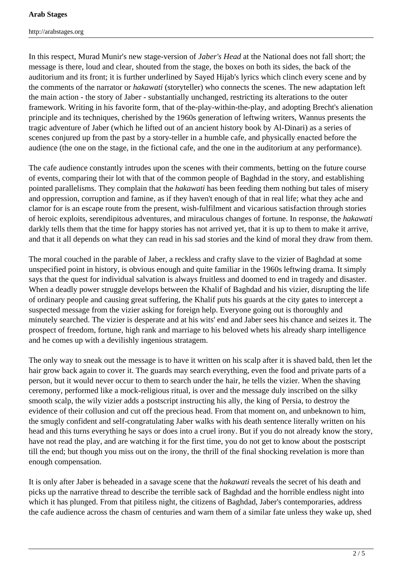http://arabstages.org

In this respect, Murad Munir's new stage-version of *Jaber's Head* at the National does not fall short; the message is there, loud and clear, shouted from the stage, the boxes on both its sides, the back of the auditorium and its front; it is further underlined by Sayed Hijab's lyrics which clinch every scene and by the comments of the narrator or *hakawati* (storyteller) who connects the scenes. The new adaptation left the main action - the story of Jaber - substantially unchanged, restricting its alterations to the outer framework. Writing in his favorite form, that of the-play-within-the-play, and adopting Brecht's alienation principle and its techniques, cherished by the 1960s generation of leftwing writers, Wannus presents the tragic adventure of Jaber (which he lifted out of an ancient history book by Al-Dinari) as a series of scenes conjured up from the past by a story-teller in a humble cafe, and physically enacted before the audience (the one on the stage, in the fictional cafe, and the one in the auditorium at any performance).

The cafe audience constantly intrudes upon the scenes with their comments, betting on the future course of events, comparing their lot with that of the common people of Baghdad in the story, and establishing pointed parallelisms. They complain that the *hakawati* has been feeding them nothing but tales of misery and oppression, corruption and famine, as if they haven't enough of that in real life; what they ache and clamor for is an escape route from the present, wish-fulfilment and vicarious satisfaction through stories of heroic exploits, serendipitous adventures, and miraculous changes of fortune. In response, the *hakawati* darkly tells them that the time for happy stories has not arrived yet, that it is up to them to make it arrive, and that it all depends on what they can read in his sad stories and the kind of moral they draw from them.

The moral couched in the parable of Jaber, a reckless and crafty slave to the vizier of Baghdad at some unspecified point in history, is obvious enough and quite familiar in the 1960s leftwing drama. It simply says that the quest for individual salvation is always fruitless and doomed to end in tragedy and disaster. When a deadly power struggle develops between the Khalif of Baghdad and his vizier, disrupting the life of ordinary people and causing great suffering, the Khalif puts his guards at the city gates to intercept a suspected message from the vizier asking for foreign help. Everyone going out is thoroughly and minutely searched. The vizier is desperate and at his wits' end and Jaber sees his chance and seizes it. The prospect of freedom, fortune, high rank and marriage to his beloved whets his already sharp intelligence and he comes up with a devilishly ingenious stratagem.

The only way to sneak out the message is to have it written on his scalp after it is shaved bald, then let the hair grow back again to cover it. The guards may search everything, even the food and private parts of a person, but it would never occur to them to search under the hair, he tells the vizier. When the shaving ceremony, performed like a mock-religious ritual, is over and the message duly inscribed on the silky smooth scalp, the wily vizier adds a postscript instructing his ally, the king of Persia, to destroy the evidence of their collusion and cut off the precious head. From that moment on, and unbeknown to him, the smugly confident and self-congratulating Jaber walks with his death sentence literally written on his head and this turns everything he says or does into a cruel irony. But if you do not already know the story, have not read the play, and are watching it for the first time, you do not get to know about the postscript till the end; but though you miss out on the irony, the thrill of the final shocking revelation is more than enough compensation.

It is only after Jaber is beheaded in a savage scene that the *hakawati* reveals the secret of his death and picks up the narrative thread to describe the terrible sack of Baghdad and the horrible endless night into which it has plunged. From that pitiless night, the citizens of Baghdad, Jaber's contemporaries, address the cafe audience across the chasm of centuries and warn them of a similar fate unless they wake up, shed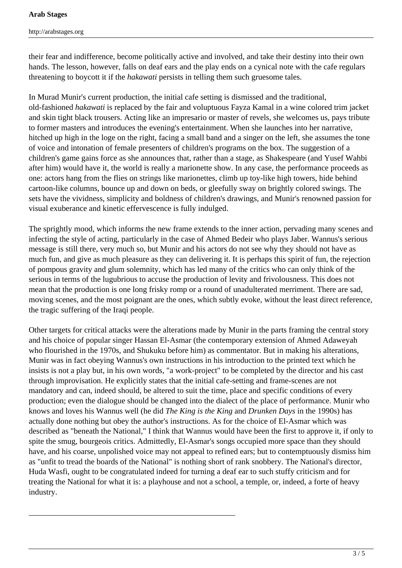their fear and indifference, become politically active and involved, and take their destiny into their own hands. The lesson, however, falls on deaf ears and the play ends on a cynical note with the cafe regulars threatening to boycott it if the *hakawati* persists in telling them such gruesome tales.

In Murad Munir's current production, the initial cafe setting is dismissed and the traditional, old-fashioned *hakawati* is replaced by the fair and voluptuous Fayza Kamal in a wine colored trim jacket and skin tight black trousers. Acting like an impresario or master of revels, she welcomes us, pays tribute to former masters and introduces the evening's entertainment. When she launches into her narrative, hitched up high in the loge on the right, facing a small band and a singer on the left, she assumes the tone of voice and intonation of female presenters of children's programs on the box. The suggestion of a children's game gains force as she announces that, rather than a stage, as Shakespeare (and Yusef Wahbi after him) would have it, the world is really a marionette show. In any case, the performance proceeds as one: actors hang from the flies on strings like marionettes, climb up toy-like high towers, hide behind cartoon-like columns, bounce up and down on beds, or gleefully sway on brightly colored swings. The sets have the vividness, simplicity and boldness of children's drawings, and Munir's renowned passion for visual exuberance and kinetic effervescence is fully indulged.

The sprightly mood, which informs the new frame extends to the inner action, pervading many scenes and infecting the style of acting, particularly in the case of Ahmed Bedeir who plays Jaber. Wannus's serious message is still there, very much so, but Munir and his actors do not see why they should not have as much fun, and give as much pleasure as they can delivering it. It is perhaps this spirit of fun, the rejection of pompous gravity and glum solemnity, which has led many of the critics who can only think of the serious in terms of the lugubrious to accuse the production of levity and frivolousness. This does not mean that the production is one long frisky romp or a round of unadulterated merriment. There are sad, moving scenes, and the most poignant are the ones, which subtly evoke, without the least direct reference, the tragic suffering of the Iraqi people.

Other targets for critical attacks were the alterations made by Munir in the parts framing the central story and his choice of popular singer Hassan El-Asmar (the contemporary extension of Ahmed Adaweyah who flourished in the 1970s, and Shukuku before him) as commentator. But in making his alterations, Munir was in fact obeying Wannus's own instructions in his introduction to the printed text which he insists is not a play but, in his own words, "a work-project" to be completed by the director and his cast through improvisation. He explicitly states that the initial cafe-setting and frame-scenes are not mandatory and can, indeed should, be altered to suit the time, place and specific conditions of every production; even the dialogue should be changed into the dialect of the place of performance. Munir who knows and loves his Wannus well (he did *The King is the King* and *Drunken Days* in the 1990s) has actually done nothing but obey the author's instructions. As for the choice of El-Asmar which was described as "beneath the National," I think that Wannus would have been the first to approve it, if only to spite the smug, bourgeois critics. Admittedly, El-Asmar's songs occupied more space than they should have, and his coarse, unpolished voice may not appeal to refined ears; but to contemptuously dismiss him as "unfit to tread the boards of the National" is nothing short of rank snobbery. The National's director, Huda Wasfi, ought to be congratulated indeed for turning a deaf ear to such stuffy criticism and for treating the National for what it is: a playhouse and not a school, a temple, or, indeed, a forte of heavy industry.

\_\_\_\_\_\_\_\_\_\_\_\_\_\_\_\_\_\_\_\_\_\_\_\_\_\_\_\_\_\_\_\_\_\_\_\_\_\_\_\_\_\_\_\_\_\_\_\_\_\_\_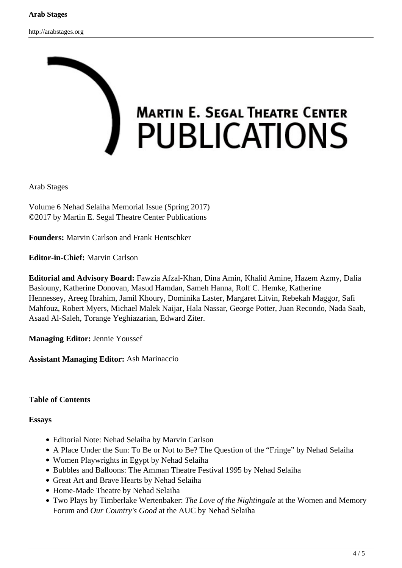

Arab Stages

Volume 6 Nehad Selaiha Memorial Issue (Spring 2017) ©2017 by Martin E. Segal Theatre Center Publications

**Founders:** Marvin Carlson and Frank Hentschker

**Editor-in-Chief:** Marvin Carlson

**Editorial and Advisory Board:** Fawzia Afzal-Khan, Dina Amin, Khalid Amine, Hazem Azmy, Dalia Basiouny, Katherine Donovan, Masud Hamdan, Sameh Hanna, Rolf C. Hemke, Katherine Hennessey, Areeg Ibrahim, Jamil Khoury, Dominika Laster, Margaret Litvin, Rebekah Maggor, Safi Mahfouz, Robert Myers, Michael Malek Naijar, Hala Nassar, George Potter, Juan Recondo, Nada Saab, Asaad Al-Saleh, Torange Yeghiazarian, Edward Ziter.

**Managing Editor:** Jennie Youssef

**Assistant Managing Editor:** Ash Marinaccio

## **Table of Contents**

**Essays**

- Editorial Note: Nehad Selaiha by Marvin Carlson
- A Place Under the Sun: To Be or Not to Be? The Question of the "Fringe" by Nehad Selaiha
- Women Playwrights in Egypt by Nehad Selaiha
- Bubbles and Balloons: The Amman Theatre Festival 1995 by Nehad Selaiha
- Great Art and Brave Hearts by Nehad Selaiha
- Home-Made Theatre by Nehad Selaiha
- Two Plays by Timberlake Wertenbaker: *The Love of the Nightingale* at the Women and Memory Forum and *Our Country's Good* at the AUC by Nehad Selaiha